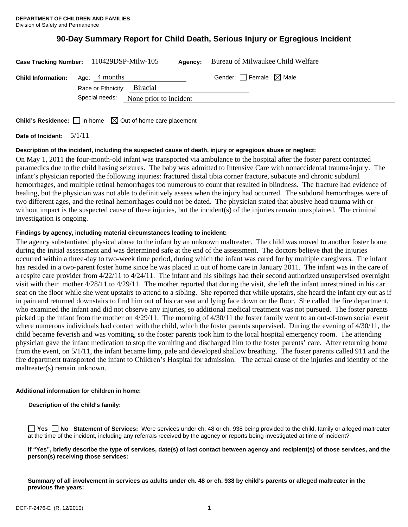# **90-Day Summary Report for Child Death, Serious Injury or Egregious Incident**

|                           | Case Tracking Number: 110429DSP-Milw-105<br>Agency:                                   | Bureau of Milwaukee Child Welfare      |
|---------------------------|---------------------------------------------------------------------------------------|----------------------------------------|
| <b>Child Information:</b> | Age: 4 months<br>Race or Ethnicity: Biracial<br>Special needs: None prior to incident | Gender: $\Box$ Female $\boxtimes$ Male |
|                           | <b>Child's Residence:</b> $\Box$ In-home $\boxtimes$ Out-of-home care placement       |                                        |

**Date of Incident:** 5/1/11

## **Description of the incident, including the suspected cause of death, injury or egregious abuse or neglect:**

On May 1, 2011 the four-month-old infant was transported via ambulance to the hospital after the foster parent contacted paramedics due to the child having seizures. The baby was admitted to Intensive Care with nonaccidental trauma/injury. The infant's physician reported the following injuries: fractured distal tibia corner fracture, subacute and chronic subdural hemorrhages, and multiple retinal hemorrhages too numerous to count that resulted in blindness. The fracture had evidence of healing, but the physician was not able to definitively assess when the injury had occurred. The subdural hemorrhages were of two different ages, and the retinal hemorrhages could not be dated. The physician stated that abusive head trauma with or without impact is the suspected cause of these injuries, but the incident(s) of the injuries remain unexplained. The criminal investigation is ongoing.

## **Findings by agency, including material circumstances leading to incident:**

The agency substantiated physical abuse to the infant by an unknown maltreater. The child was moved to another foster home during the initial assessment and was determined safe at the end of the assessment. The doctors believe that the injuries occurred within a three-day to two-week time period, during which the infant was cared for by multiple caregivers. The infant has resided in a two-parent foster home since he was placed in out of home care in January 2011. The infant was in the care of a respite care provider from 4/22/11 to 4/24/11. The infant and his siblings had their second authorized unsupervised overnight visit with their mother 4/28/11 to 4/29/11. The mother reported that during the visit, she left the infant unrestrained in his car seat on the floor while she went upstairs to attend to a sibling. She reported that while upstairs, she heard the infant cry out as if in pain and returned downstairs to find him out of his car seat and lying face down on the floor. She called the fire department, who examined the infant and did not observe any injuries, so additional medical treatment was not pursued. The foster parents picked up the infant from the mother on 4/29/11. The morning of 4/30/11 the foster family went to an out-of-town social event where numerous individuals had contact with the child, which the foster parents supervised. During the evening of 4/30/11, the child became feverish and was vomiting, so the foster parents took him to the local hospital emergency room. The attending physician gave the infant medication to stop the vomiting and discharged him to the foster parents' care. After returning home from the event, on 5/1/11, the infant became limp, pale and developed shallow breathing. The foster parents called 911 and the fire department transported the infant to Children's Hospital for admission. The actual cause of the injuries and identity of the maltreater(s) remain unknown.

## **Additional information for children in home:**

**Description of the child's family:** 

**Yes No** Statement of Services: Were services under ch. 48 or ch. 938 being provided to the child, family or alleged maltreater at the time of the incident, including any referrals received by the agency or reports being investigated at time of incident?

**If "Yes", briefly describe the type of services, date(s) of last contact between agency and recipient(s) of those services, and the person(s) receiving those services:** 

**Summary of all involvement in services as adults under ch. 48 or ch. 938 by child's parents or alleged maltreater in the previous five years:**